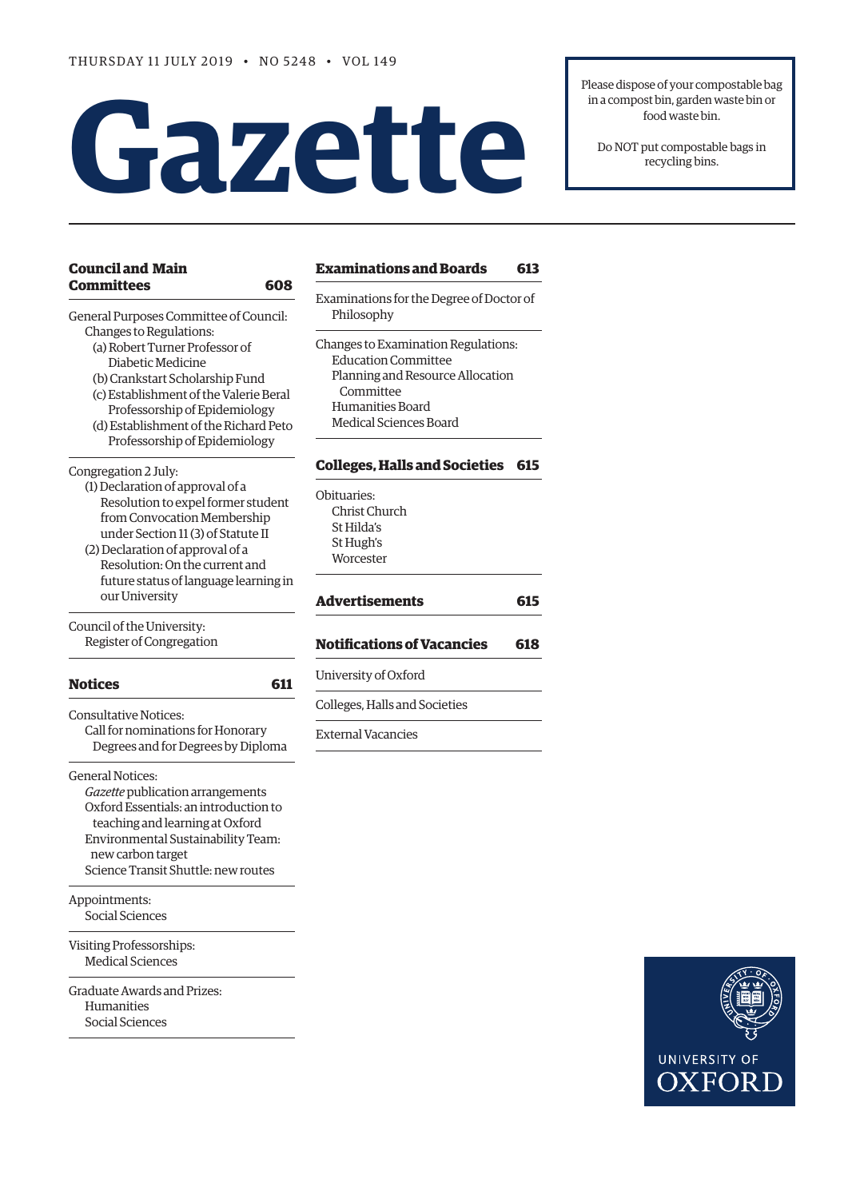# **Gazette**

Please dispose of your compostable bag in a compost bin, garden waste bin or food waste bin.

Do NOT put compostable bags in recycling bins.

| <b>Council and Main</b>                                           | <b>Examinatio</b>      |
|-------------------------------------------------------------------|------------------------|
| <b>Committees</b><br>608                                          | Examinations           |
| General Purposes Committee of Council:<br>Changes to Regulations: | Philosophy             |
| (a) Robert Turner Professor of                                    | Changes to Exa         |
| Diabetic Medicine                                                 | Education (            |
| (b) Crankstart Scholarship Fund                                   | Planning ar            |
| (c) Establishment of the Valerie Beral                            | Committe               |
| Professorship of Epidemiology                                     | Humanities             |
| (d) Establishment of the Richard Peto                             | Medical Sci            |
| Professorship of Epidemiology                                     |                        |
| Congregation 2 July:                                              | <b>Colleges, Ha</b>    |
| (1) Declaration of approval of a                                  |                        |
| Resolution to expel former student                                | Obituaries:            |
| from Convocation Membership                                       | Christ Chur            |
| under Section 11 (3) of Statute II                                | St Hilda's             |
| (2) Declaration of approval of a                                  | St Hugh's<br>Worcester |
| Resolution: On the current and                                    |                        |
| future status of language learning in                             |                        |
| our University                                                    | Advertisem             |
| Council of the University:                                        |                        |
| Register of Congregation                                          | <b>Notification</b>    |
| <b>Notices</b><br>611                                             | University of C        |
| <b>Consultative Notices:</b>                                      | Colleges, Halls        |
| Call for nominations for Honorary                                 | <b>External Vacar</b>  |
| Degrees and for Degrees by Diploma                                |                        |
| <b>General Notices:</b>                                           |                        |
| Gazette publication arrangements                                  |                        |
| Oxford Essentials: an introduction to                             |                        |
| teaching and learning at Oxford                                   |                        |
| Environmental Sustainability Team:                                |                        |
| new carbon target                                                 |                        |
| Science Transit Shuttle: new routes                               |                        |

[Appointments](#page-5-0): [Social Sciences](#page-5-0)

Visiting Professorships: Medical Sciences

[Graduate Awards and Prizes:](#page-6-0) [Humanities](#page-6-0) Social Sciences

## **[Examinations and Boards 61](#page-6-0)3**

for the Degree of Doctor of

amination Regulations: Committee nd Resource Allocation ee s Board iences Board

# **[Colleges, Halls and Societies 61](#page-7-0)5**

 $ch$ **[Advertisements](#page-7-0) 615**

## **[Notifications of Vacancies 618](#page-11-0)**

#### )xford

and Societies

#### ncies

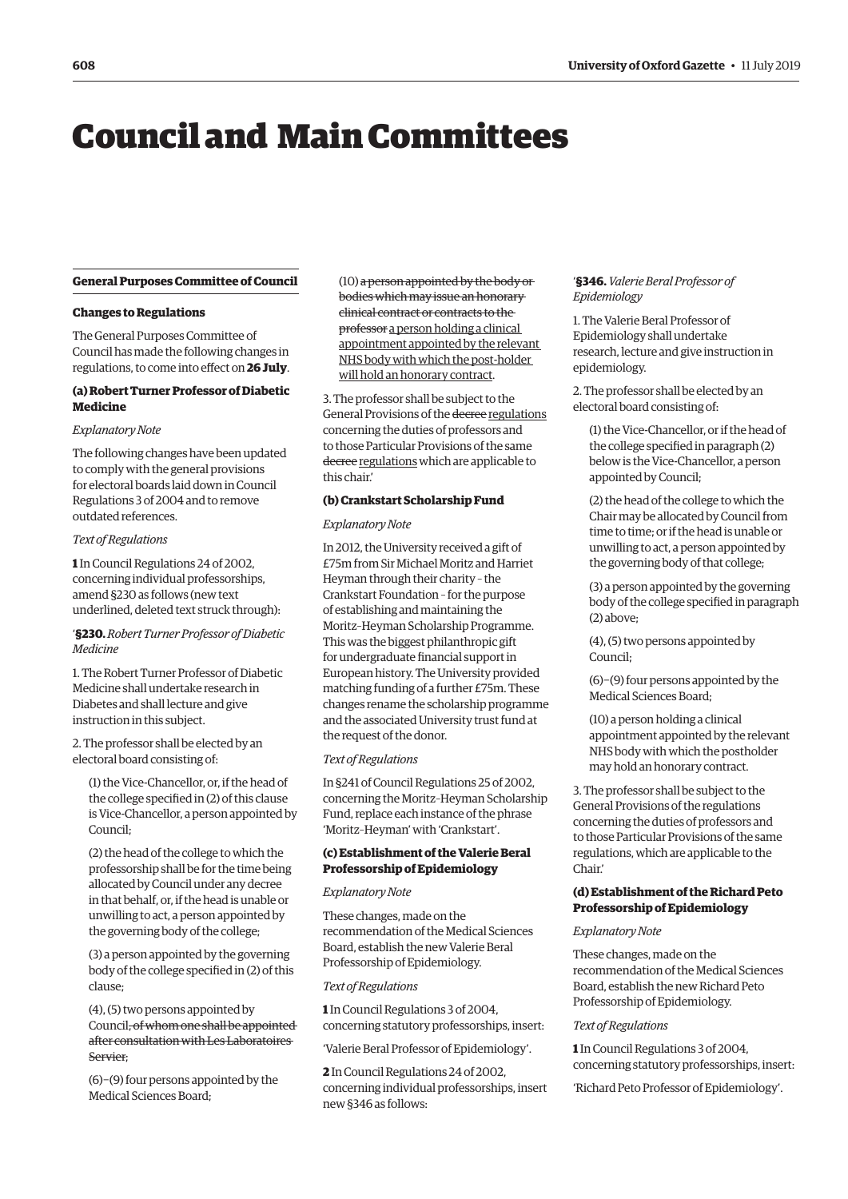# <span id="page-1-0"></span>Council and Main Committees

#### **General Purposes Committee of Council**

#### **Changes to Regulations**

The General Purposes Committee of Council has made the following changes in regulations, to come into effect on **26 July**.

# **(a) Robert Turner Professor of Diabetic** 3. **Medicine** <sup>G</sup>

#### *Explanatory Note*

The following changes have been updated to comply with the general provisions for electoral boards laid down in Council Regulations 3 of 2004 and to remove outdated references.

#### *Text of Regulations*

**1** In Council Regulations 24 of 2002, concerning individual professorships, amend §230 as follows (new text underlined, deleted text struck through):

#### '**§230.** *Robert Turner Professor of Diabetic Medicine*

1. The Robert Turner Professor of Diabetic Medicine shall undertake research in Diabetes and shall lecture and give instruction in this subject.

2. The professor shall be elected by an electoral board consisting of:

(1) the Vice-Chancellor, or, if the head of the college specified in (2) of this clause is Vice-Chancellor, a person appointed by Council;

(2) the head of the college to which the professorship shall be for the time being allocated by Council under any decree in that behalf, or, if the head is unable or unwilling to act, a person appointed by the governing body of the college;

(3) a person appointed by the governing body of the college specified in (2) of this clause;

(4), (5) two persons appointed by Council, of whom one shall be appointed after consultation with Les Laboratoires Servier;

(6)−(9) four persons appointed by the Medical Sciences Board;

(10) a person appointed by the body or bodies which may issue an honorary clinical contract or contracts to the professor a person holding a clinical appointment appointed by the relevant NHS body with which the post-holder will hold an honorary contract.

 The professor shall be subject to the General Provisions of the decree regulations concerning the duties of professors and to those Particular Provisions of the same decree regulations which are applicable to this chair.'

#### **(b) Crankstart Scholarship Fund**

#### *Explanatory Note*

In 2012, the University received a gift of £75m from Sir Michael Moritz and Harriet Heyman through their charity – the Crankstart Foundation – for the purpose of establishing and maintaining the Moritz–Heyman Scholarship Programme. This was the biggest philanthropic gift for undergraduate financial support in European history. The University provided matching funding of a further £75m. These changes rename the scholarship programme and the associated University trust fund at the request of the donor.

#### *Text of Regulations*

In §241 of Council Regulations 25 of 2002, concerning the Moritz–Heyman Scholarship Fund, replace each instance of the phrase 'Moritz–Heyman' with 'Crankstart'.

#### **(c) Establishment of the Valerie Beral Professorship of Epidemiology**

#### *Explanatory Note*

These changes, made on the recommendation of the Medical Sciences Board, establish the new Valerie Beral Professorship of Epidemiology.

#### *Text of Regulations*

**1** In Council Regulations 3 of 2004, concerning statutory professorships, insert:

'Valerie Beral Professor of Epidemiology'.

**2** In Council Regulations 24 of 2002, concerning individual professorships, insert new §346 as follows:

#### '**§346.** *Valerie Beral Professor of Epidemiology*

1. The Valerie Beral Professor of Epidemiology shall undertake research, lecture and give instruction in epidemiology.

2. The professor shall be elected by an electoral board consisting of:

- (1) the Vice-Chancellor, or if the head of the college specified in paragraph (2) below is the Vice-Chancellor, a person appointed by Council;
- (2) the head of the college to which the Chair may be allocated by Council from time to time; or if the head is unable or unwilling to act, a person appointed by the governing body of that college;

(3) a person appointed by the governing body of the college specified in paragraph (2) above;

(4), (5) two persons appointed by Council;

(6)−(9) four persons appointed by the Medical Sciences Board;

(10) a person holding a clinical appointment appointed by the relevant NHS body with which the postholder may hold an honorary contract.

3. The professor shall be subject to the General Provisions of the regulations concerning the duties of professors and to those Particular Provisions of the same regulations, which are applicable to the Chair.'

#### **(d) Establishment of the Richard Peto Professorship of Epidemiology**

#### *Explanatory Note*

These changes, made on the recommendation of the Medical Sciences Board, establish the new Richard Peto Professorship of Epidemiology.

#### *Text of Regulations*

**1** In Council Regulations 3 of 2004, concerning statutory professorships, insert:

'Richard Peto Professor of Epidemiology'.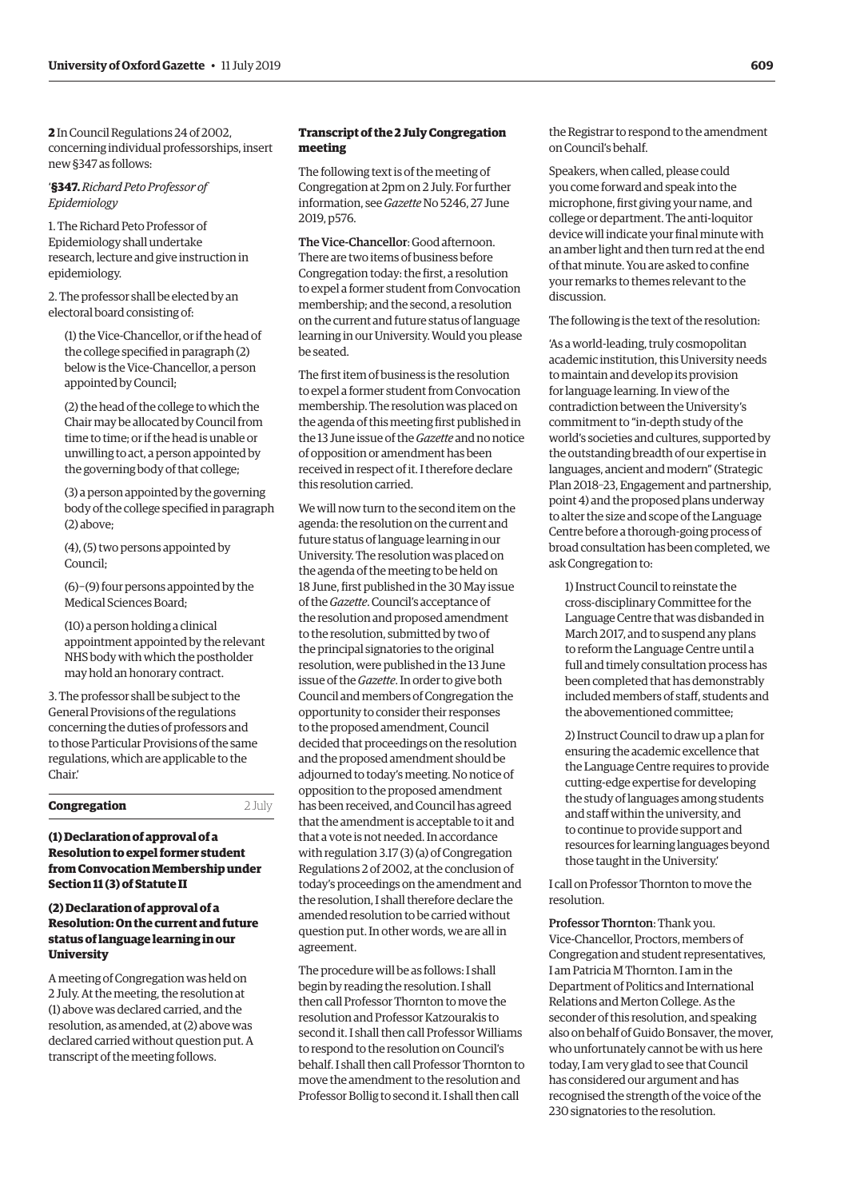<span id="page-2-0"></span>**2** In Council Regulations 24 of 2002, concerning individual professorships, insert new §347 as follows:

'**§347.** *Richard Peto Professor of Epidemiology*

1. The Richard Peto Professor of Epidemiology shall undertake research, lecture and give instruction in epidemiology.

2. The professor shall be elected by an electoral board consisting of:

(1) the Vice-Chancellor, or if the head of the college specified in paragraph (2) below is the Vice-Chancellor, a person appointed by Council;

(2) the head of the college to which the Chair may be allocated by Council from time to time; or if the head is unable or unwilling to act, a person appointed by the governing body of that college;

(3) a person appointed by the governing body of the college specified in paragraph (2) above;

(4), (5) two persons appointed by Council;

(6)−(9) four persons appointed by the Medical Sciences Board;

(10) a person holding a clinical appointment appointed by the relevant NHS body with which the postholder may hold an honorary contract.

3. The professor shall be subject to the General Provisions of the regulations concerning the duties of professors and to those Particular Provisions of the same regulations, which are applicable to the Chair.'

**Congregation** 2 July

#### **(1) Declaration of approval of a Resolution to expel former student from Convocation Membership under Section 11 (3) of Statute II**

#### **(2) Declaration of approval of a Resolution: On the current and future status of language learning in our University**

A meeting of Congregation was held on 2 July. At the meeting, the resolution at (1) above was declared carried, and the resolution, as amended, at (2) above was declared carried without question put. A transcript of the meeting follows.

#### **Transcript of the 2 July Congregation meeting**

The following text is of the meeting of Congregation at 2pm on 2 July. For further information, see *Gazette* [No 5246, 27 June](https://gazette.web.ox.ac.uk/sites/default/files/gazette/documents/media/27_june_2019_-_no_5246_redacted.pdf#page=3)  2019, p576.

The Vice-Chancellor: Good afternoon. There are two items of business before Congregation today: the first, a resolution to expel a former student from Convocation membership; and the second, a resolution on the current and future status of language learning in our University. Would you please be seated.

The first item of business is the resolution to expel a former student from Convocation membership. The resolution was placed on the agenda of this meeting first published in the 13 June issue of the *Gazette* and no notice of opposition or amendment has been received in respect of it. I therefore declare this resolution carried.

We will now turn to the second item on the agenda: the resolution on the current and future status of language learning in our University. The resolution was placed on the agenda of the meeting to be held on 18 June, first published in the 30 May issue of the *Gazette*. Council's acceptance of the resolution and proposed amendment to the resolution, submitted by two of the principal signatories to the original resolution, were published in the 13 June issue of the *Gazette*. In order to give both Council and members of Congregation the opportunity to consider their responses to the proposed amendment, Council decided that proceedings on the resolution and the proposed amendment should be adjourned to today's meeting. No notice of opposition to the proposed amendment has been received, and Council has agreed that the amendment is acceptable to it and that a vote is not needed. In accordance with regulation 3.17 (3) (a) of Congregation Regulations 2 of 2002, at the conclusion of today's proceedings on the amendment and the resolution, I shall therefore declare the amended resolution to be carried without question put. In other words, we are all in agreement.

The procedure will be as follows: I shall begin by reading the resolution. I shall then call Professor Thornton to move the resolution and Professor Katzourakis to second it. I shall then call Professor Williams to respond to the resolution on Council's behalf. I shall then call Professor Thornton to move the amendment to the resolution and Professor Bollig to second it. I shall then call

the Registrar to respond to the amendment on Council's behalf.

Speakers, when called, please could you come forward and speak into the microphone, first giving your name, and college or department. The anti-loquitor device will indicate your final minute with an amber light and then turn red at the end of that minute. You are asked to confine your remarks to themes relevant to the discussion.

The following is the text of the resolution:

'As a world-leading, truly cosmopolitan academic institution, this University needs to maintain and develop its provision for language learning. In view of the contradiction between the University's commitment to "in-depth study of the world's societies and cultures, supported by the outstanding breadth of our expertise in languages, ancient and modern" (Strategic Plan 2018–23, Engagement and partnership, point 4) and the proposed plans underway to alter the size and scope of the Language Centre before a thorough-going process of broad consultation has been completed, we ask Congregation to:

1) Instruct Council to reinstate the cross-disciplinary Committee for the Language Centre that was disbanded in March 2017, and to suspend any plans to reform the Language Centre until a full and timely consultation process has been completed that has demonstrably included members of staff, students and the abovementioned committee;

2) Instruct Council to draw up a plan for ensuring the academic excellence that the Language Centre requires to provide cutting-edge expertise for developing the study of languages among students and staff within the university, and to continue to provide support and resources for learning languages beyond those taught in the University.'

I call on Professor Thornton to move the resolution.

Professor Thornton: Thank you. Vice-Chancellor, Proctors, members of Congregation and student representatives, I am Patricia M Thornton. I am in the Department of Politics and International Relations and Merton College. As the seconder of this resolution, and speaking also on behalf of Guido Bonsaver, the mover, who unfortunately cannot be with us here today, I am very glad to see that Council has considered our argument and has recognised the strength of the voice of the 230 signatories to the resolution.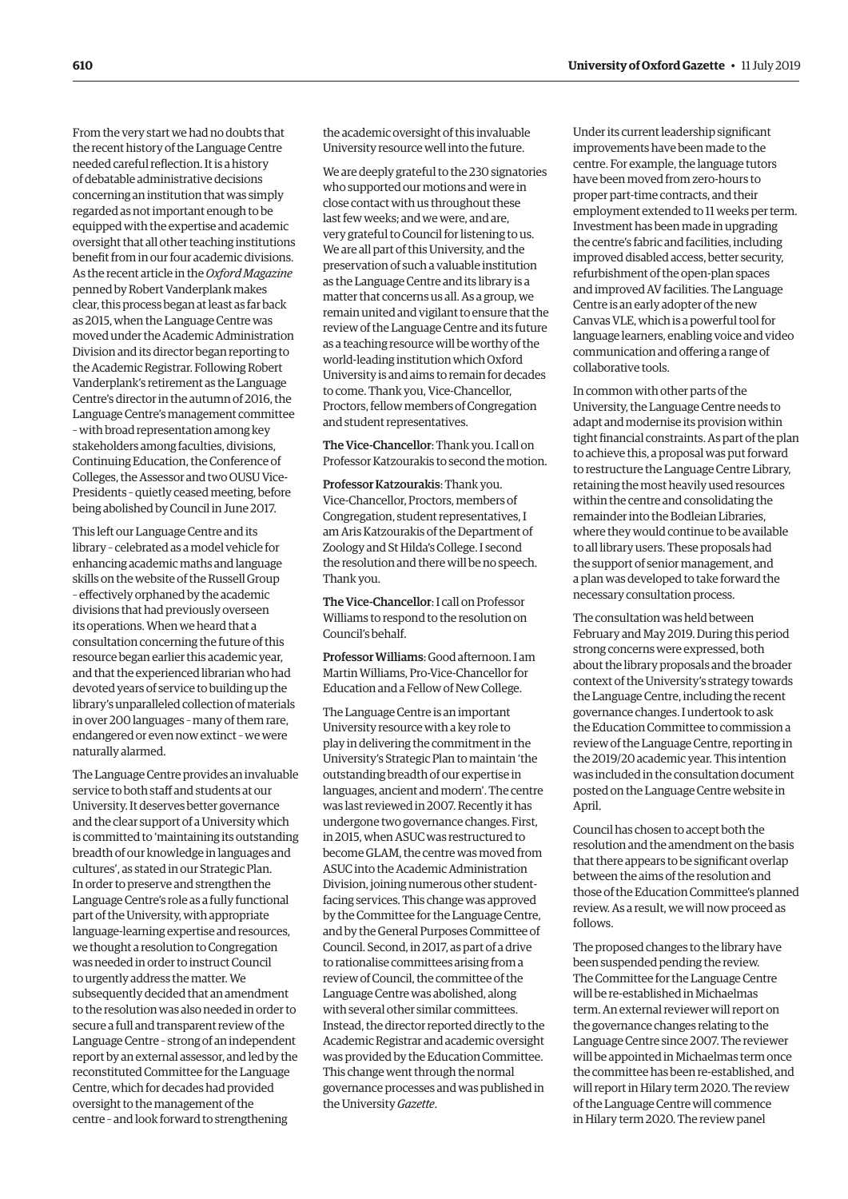From the very start we had no doubts that the recent history of the Language Centre needed careful reflection. It is a history of debatable administrative decisions concerning an institution that was simply regarded as not important enough to be equipped with the expertise and academic oversight that all other teaching institutions benefit from in our four academic divisions. As the recent article in the *Oxford Magazine* penned by Robert Vanderplank makes clear, this process began at least as far back as 2015, when the Language Centre was moved under the Academic Administration Division and its director began reporting to the Academic Registrar. Following Robert Vanderplank's retirement as the Language Centre's director in the autumn of 2016, the Language Centre's management committee – with broad representation among key stakeholders among faculties, divisions, Continuing Education, the Conference of Colleges, the Assessor and two OUSU Vice-Presidents – quietly ceased meeting, before being abolished by Council in June 2017.

This left our Language Centre and its library – celebrated as a model vehicle for enhancing academic maths and language skills on the website of the Russell Group – effectively orphaned by the academic divisions that had previously overseen its operations. When we heard that a consultation concerning the future of this resource began earlier this academic year, and that the experienced librarian who had devoted years of service to building up the library's unparalleled collection of materials in over 200 languages – many of them rare, endangered or even now extinct – we were naturally alarmed.

The Language Centre provides an invaluable service to both staff and students at our University. It deserves better governance and the clear support of a University which is committed to 'maintaining its outstanding breadth of our knowledge in languages and cultures', as stated in our Strategic Plan. In order to preserve and strengthen the Language Centre's role as a fully functional part of the University, with appropriate language-learning expertise and resources, we thought a resolution to Congregation was needed in order to instruct Council to urgently address the matter. We subsequently decided that an amendment to the resolution was also needed in order to secure a full and transparent review of the Language Centre – strong of an independent report by an external assessor, and led by the reconstituted Committee for the Language Centre, which for decades had provided oversight to the management of the centre – and look forward to strengthening

the academic oversight of this invaluable University resource well into the future.

We are deeply grateful to the 230 signatories who supported our motions and were in close contact with us throughout these last few weeks; and we were, and are, very grateful to Council for listening to us. We are all part of this University, and the preservation of such a valuable institution as the Language Centre and its library is a matter that concerns us all. As a group, we remain united and vigilant to ensure that the review of the Language Centre and its future as a teaching resource will be worthy of the world-leading institution which Oxford University is and aims to remain for decades to come. Thank you, Vice-Chancellor, Proctors, fellow members of Congregation and student representatives.

The Vice-Chancellor: Thank you. I call on Professor Katzourakis to second the motion.

Professor Katzourakis: Thank you. Vice-Chancellor, Proctors, members of Congregation, student representatives, I am Aris Katzourakis of the Department of Zoology and St Hilda's College. I second the resolution and there will be no speech. Thank you.

The Vice-Chancellor: I call on Professor Williams to respond to the resolution on Council's behalf.

Professor Williams: Good afternoon. I am Martin Williams, Pro-Vice-Chancellor for Education and a Fellow of New College.

The Language Centre is an important University resource with a key role to play in delivering the commitment in the University's Strategic Plan to maintain 'the outstanding breadth of our expertise in languages, ancient and modern'. The centre was last reviewed in 2007. Recently it has undergone two governance changes. First, in 2015, when ASUC was restructured to become GLAM, the centre was moved from ASUC into the Academic Administration Division, joining numerous other studentfacing services. This change was approved by the Committee for the Language Centre, and by the General Purposes Committee of Council. Second, in 2017, as part of a drive to rationalise committees arising from a review of Council, the committee of the Language Centre was abolished, along with several other similar committees. Instead, the director reported directly to the Academic Registrar and academic oversight was provided by the Education Committee. This change went through the normal governance processes and was published in the University *Gazette*.

Under its current leadership significant improvements have been made to the centre. For example, the language tutors have been moved from zero-hours to proper part-time contracts, and their employment extended to 11 weeks per term. Investment has been made in upgrading the centre's fabric and facilities, including improved disabled access, better security, refurbishment of the open-plan spaces and improved AV facilities. The Language Centre is an early adopter of the new Canvas VLE, which is a powerful tool for language learners, enabling voice and video communication and offering a range of collaborative tools.

In common with other parts of the University, the Language Centre needs to adapt and modernise its provision within tight financial constraints. As part of the plan to achieve this, a proposal was put forward to restructure the Language Centre Library, retaining the most heavily used resources within the centre and consolidating the remainder into the Bodleian Libraries, where they would continue to be available to all library users. These proposals had the support of senior management, and a plan was developed to take forward the necessary consultation process.

The consultation was held between February and May 2019. During this period strong concerns were expressed, both about the library proposals and the broader context of the University's strategy towards the Language Centre, including the recent governance changes. I undertook to ask the Education Committee to commission a review of the Language Centre, reporting in the 2019/20 academic year. This intention was included in the consultation document posted on the Language Centre website in April.

Council has chosen to accept both the resolution and the amendment on the basis that there appears to be significant overlap between the aims of the resolution and those of the Education Committee's planned review. As a result, we will now proceed as follows.

The proposed changes to the library have been suspended pending the review. The Committee for the Language Centre will be re-established in Michaelmas term. An external reviewer will report on the governance changes relating to the Language Centre since 2007. The reviewer will be appointed in Michaelmas term once the committee has been re-established, and will report in Hilary term 2020. The review of the Language Centre will commence in Hilary term 2020. The review panel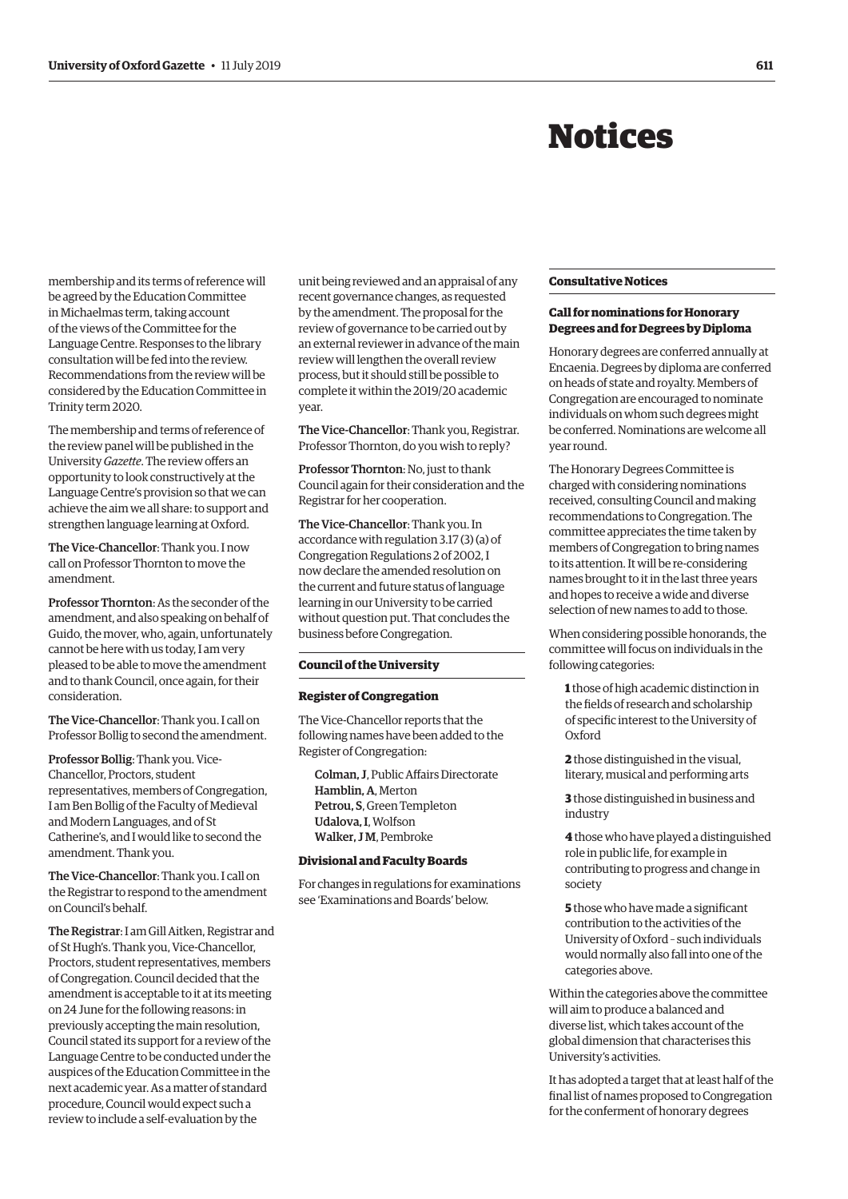# Notices

<span id="page-4-0"></span>membership and its terms of reference will be agreed by the Education Committee in Michaelmas term, taking account of the views of the Committee for the Language Centre. Responses to the library consultation will be fed into the review. Recommendations from the review will be considered by the Education Committee in Trinity term 2020.

The membership and terms of reference of the review panel will be published in the University *Gazette*. The review offers an opportunity to look constructively at the Language Centre's provision so that we can achieve the aim we all share: to support and strengthen language learning at Oxford.

The Vice-Chancellor: Thank you. I now call on Professor Thornton to move the amendment.

Professor Thornton: As the seconder of the amendment, and also speaking on behalf of Guido, the mover, who, again, unfortunately cannot be here with us today, I am very pleased to be able to move the amendment and to thank Council, once again, for their consideration.

The Vice-Chancellor: Thank you. I call on Professor Bollig to second the amendment.

Professor Bollig: Thank you. Vice-Chancellor, Proctors, student representatives, members of Congregation, I am Ben Bollig of the Faculty of Medieval and Modern Languages, and of St Catherine's, and I would like to second the amendment. Thank you.

The Vice-Chancellor: Thank you. I call on the Registrar to respond to the amendment on Council's behalf.

The Registrar: I am Gill Aitken, Registrar and of St Hugh's. Thank you, Vice-Chancellor, Proctors, student representatives, members of Congregation. Council decided that the amendment is acceptable to it at its meeting on 24 June for the following reasons: in previously accepting the main resolution, Council stated its support for a review of the Language Centre to be conducted under the auspices of the Education Committee in the next academic year. As a matter of standard procedure, Council would expect such a review to include a self-evaluation by the

unit being reviewed and an appraisal of any recent governance changes, as requested by the amendment. The proposal for the review of governance to be carried out by an external reviewer in advance of the main review will lengthen the overall review process, but it should still be possible to complete it within the 2019/20 academic year.

The Vice-Chancellor: Thank you, Registrar. Professor Thornton, do you wish to reply?

Professor Thornton: No, just to thank Council again for their consideration and the Registrar for her cooperation.

The Vice-Chancellor: Thank you. In accordance with regulation 3.17 (3) (a) of Congregation Regulations 2 of 2002, I now declare the amended resolution on the current and future status of language learning in our University to be carried without question put. That concludes the business before Congregation.

#### **Council of the University**

#### **Register of Congregation**

The Vice-Chancellor reports that the following names have been added to the Register of Congregation:

Colman, J, Public Affairs Directorate Hamblin, A, Merton Petrou, S, Green Templeton Udalova, I, Wolfson Walker, J.M. Pembroke

#### **Divisional and Faculty Boards**

For changes in regulations for examinations see ['Examinations and Boards' be](#page-7-0)low.

#### **Consultative Notices**

#### **Call for nominations for Honorary Degrees and for Degrees by Diploma**

Honorary degrees are conferred annually at Encaenia. Degrees by diploma are conferred on heads of state and royalty. Members of Congregation are encouraged to nominate individuals on whom such degrees might be conferred. Nominations are welcome all year round.

The Honorary Degrees Committee is charged with considering nominations received, consulting Council and making recommendations to Congregation. The committee appreciates the time taken by members of Congregation to bring names to its attention. It will be re-considering names brought to it in the last three years and hopes to receive a wide and diverse selection of new names to add to those.

When considering possible honorands, the committee will focus on individuals in the following categories:

**1** those of high academic distinction in the fields of research and scholarship of specific interest to the University of Oxford

**2** those distinguished in the visual, literary, musical and performing arts

**3** those distinguished in business and industry

**4** those who have played a distinguished role in public life, for example in contributing to progress and change in society

**5** those who have made a significant contribution to the activities of the University of Oxford – such individuals would normally also fall into one of the categories above.

Within the categories above the committee will aim to produce a balanced and diverse list, which takes account of the global dimension that characterises this University's activities.

It has adopted a target that at least half of the final list of names proposed to Congregation for the conferment of honorary degrees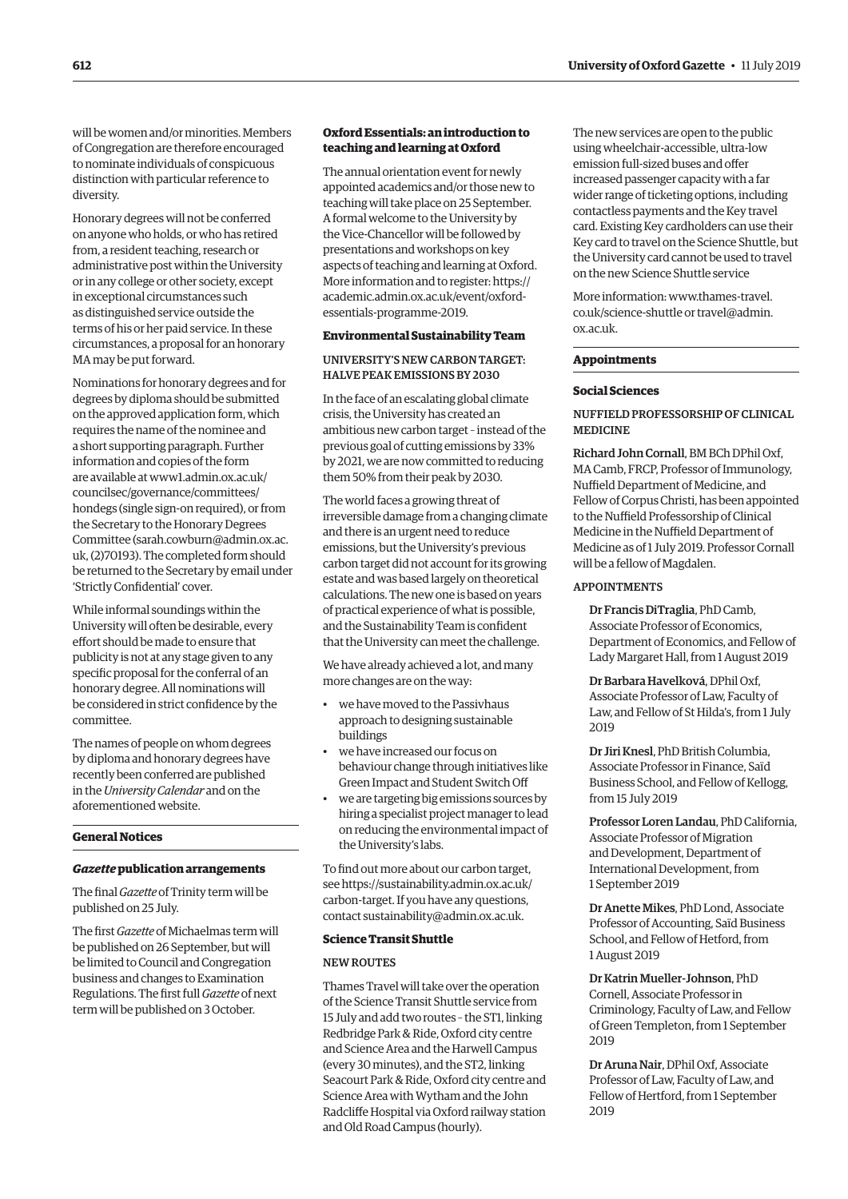<span id="page-5-0"></span>will be women and/or minorities. Members of Congregation are therefore encouraged to nominate individuals of conspicuous distinction with particular reference to diversity.

Honorary degrees will not be conferred on anyone who holds, or who has retired from, a resident teaching, research or administrative post within the University or in any college or other society, except in exceptional circumstances such as distinguished service outside the terms of his or her paid service. In these circumstances, a proposal for an honorary MA may be put forward.

Nominations for honorary degrees and for degrees by diploma should be submitted on the approved application form, which requires the name of the nominee and a short supporting paragraph. Further information and copies of the form are available at [www1.admin.ox.ac.uk/](http://www1.admin.ox.ac.uk/councilsec/governance/committees/hondegs) [councilsec/governance/committees/](http://www1.admin.ox.ac.uk/councilsec/governance/committees/hondegs) [hondegs](http://www1.admin.ox.ac.uk/councilsec/governance/committees/hondegs) (single sign-on required), or from the Secretary to the Honorary Degrees Committee [\(sarah.cowburn@admin.ox.ac.](mailto:(sarah.cowburn@admin.ox.ac.uk) [uk](mailto:(sarah.cowburn@admin.ox.ac.uk), (2)70193). The completed form should be returned to the Secretary by email under 'Strictly Confidential' cover.

While informal soundings within the University will often be desirable, every effort should be made to ensure that publicity is not at any stage given to any specific proposal for the conferral of an honorary degree. All nominations will be considered in strict confidence by the committee.

The names of people on whom degrees by diploma and honorary degrees have recently been conferred are published in the *University Calendar* and on the aforementioned website.

### **General Notices**

#### *Gazette* **publication arrangements**

The final *Gazette* of Trinity term will be published on 25 July.

The first *Gazette* of Michaelmas term will be published on 26 September, but will be limited to Council and Congregation business and changes to Examination Regulations. The first full *Gazette* of next term will be published on 3 October.

#### **Oxford Essentials: an introduction to teaching and learning at Oxford**

The annual orientation event for newly appointed academics and/or those new to teaching will take place on 25 September. A formal welcome to the University by the Vice-Chancellor will be followed by presentations and workshops on key aspects of teaching and learning at Oxford. More information and to register: [https://](https://academic.admin.ox.ac.uk/event/oxford-essentials-programme-2019) [academic.admin.ox.ac.uk/event/oxford](https://academic.admin.ox.ac.uk/event/oxford-essentials-programme-2019)[essentials-programme-2019.](https://academic.admin.ox.ac.uk/event/oxford-essentials-programme-2019)

#### **Environmental Sustainability Team**

#### UNIVERSITY'S NEW CARBON TARGET: HALVE PEAK EMISSIONS BY 2030

In the face of an escalating global climate crisis, the University has created an ambitious new carbon target – instead of the previous goal of cutting emissions by 33% by 2021, we are now committed to reducing them 50% from their peak by 2030.

The world faces a growing threat of irreversible damage from a changing climate and there is an urgent need to reduce emissions, but the University's previous carbon target did not account for its growing estate and was based largely on theoretical calculations. The new one is based on years of practical experience of what is possible, and the Sustainability Team is confident that the University can meet the challenge.

We have already achieved a lot, and many more changes are on the way:

- we have moved to the Passivhaus approach to designing sustainable buildings
- we have increased our focus on behaviour change through initiatives like Green Impact and Student Switch Off
- we are targeting big emissions sources by hiring a specialist project manager to lead on reducing the environmental impact of the University's labs.

To find out more about our carbon target, see [https://sustainability.admin.ox.ac.uk/](https://sustainability.admin.ox.ac.uk/carbon-target) [carbon-target.](https://sustainability.admin.ox.ac.uk/carbon-target) If you have any questions, contact [sustainability@admin.ox.ac.uk](mailto:sustainability@admin.ox.ac.uk).

#### **Science Transit Shuttle**

#### NEW ROUTES

Thames Travel will take over the operation of the Science Transit Shuttle service from 15 July and add two routes – the ST1, linking Redbridge Park & Ride, Oxford city centre and Science Area and the Harwell Campus (every 30 minutes), and the ST2, linking Seacourt Park & Ride, Oxford city centre and Science Area with Wytham and the John Radcliffe Hospital via Oxford railway station and Old Road Campus (hourly).

The new services are open to the public using wheelchair-accessible, ultra-low emission full-sized buses and offer increased passenger capacity with a far wider range of ticketing options, including contactless payments and the Key travel card. Existing Key cardholders can use their Key card to travel on the Science Shuttle, but the University card cannot be used to travel on the new Science Shuttle service

More information: [www.thames-travel.](http://www.thames-travel.co.uk/science-shuttle) [co.uk/science-shuttle](http://www.thames-travel.co.uk/science-shuttle) or [travel@admin.](mailto:travel@admin.ox.ac.uk) [ox.ac.uk](mailto:travel@admin.ox.ac.uk).

#### **Appointments**

#### **Social Sciences**

#### NUFFIELD PROFESSORSHIP OF CLINICAL MEDICINE

Richard John Cornall, BM BCh DPhil Oxf, MA Camb, FRCP, Professor of Immunology, Nuffield Department of Medicine, and Fellow of Corpus Christi, has been appointed to the Nuffield Professorship of Clinical Medicine in the Nuffield Department of Medicine as of 1 July 2019. Professor Cornall will be a fellow of Magdalen.

#### APPOINTMENTS

Dr Francis DiTraglia, PhD Camb, Associate Professor of Economics, Department of Economics, and Fellow of Lady Margaret Hall, from 1 August 2019

Dr Barbara Havelková, DPhil Oxf, Associate Professor of Law, Faculty of Law, and Fellow of St Hilda's, from 1 July 2019

Dr Jiri Knesl, PhD British Columbia, Associate Professor in Finance, Saïd Business School, and Fellow of Kellogg, from 15 July 2019

Professor Loren Landau, PhD California, Associate Professor of Migration and Development, Department of International Development, from 1 September 2019

Dr Anette Mikes, PhD Lond, Associate Professor of Accounting, Saïd Business School, and Fellow of Hetford, from 1 August 2019

Dr Katrin Mueller-Johnson, PhD Cornell, Associate Professor in Criminology, Faculty of Law, and Fellow of Green Templeton, from 1 September  $2019$ 

Dr Aruna Nair, DPhil Oxf, Associate Professor of Law, Faculty of Law, and Fellow of Hertford, from 1 September 2019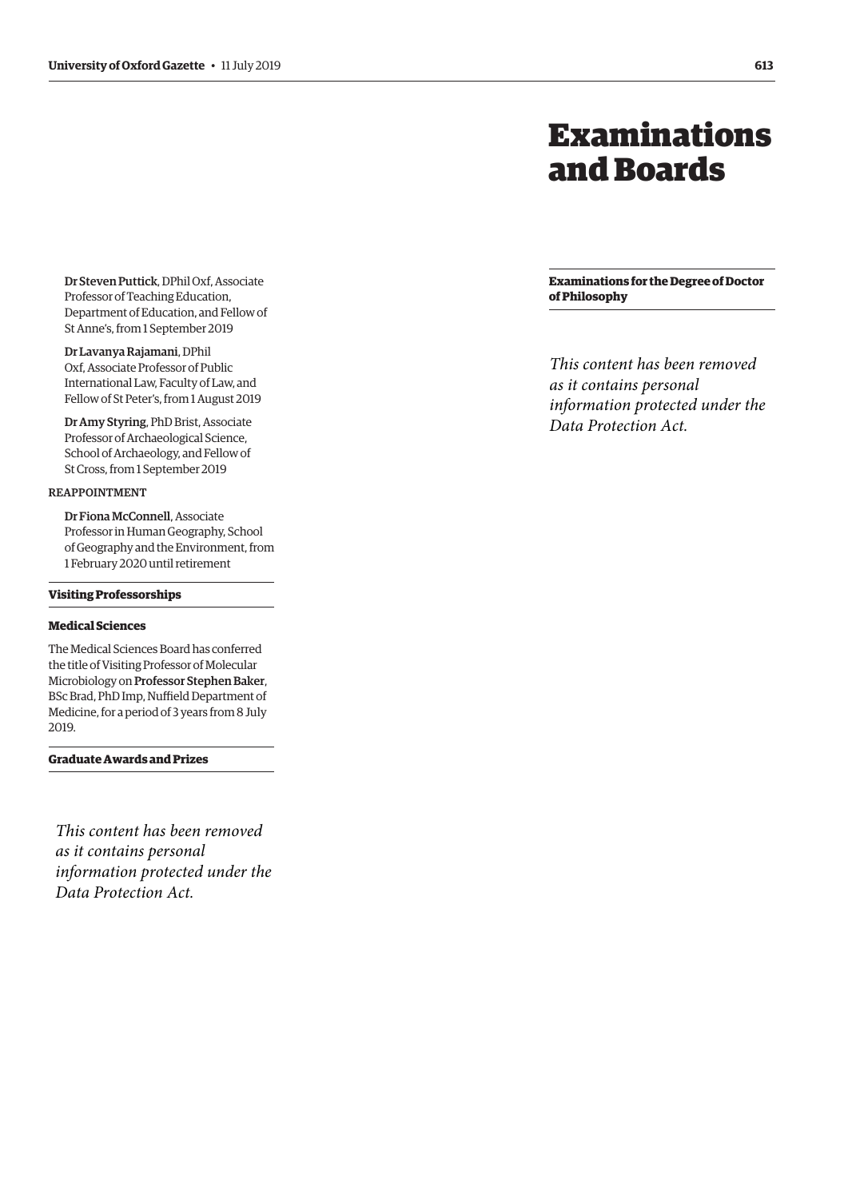# Examinations and Boards

<span id="page-6-0"></span>Dr Steven Puttick, DPhil Oxf, Associate Professor of Teaching Education, Department of Education, and Fellow of St Anne's, from 1 September 2019

Dr Lavanya Rajamani, DPhil Oxf, Associate Professor of Public International Law, Faculty of Law, and Fellow of St Peter's, from 1 August 2019

Dr Amy Styring, PhD Brist, Associate Professor of Archaeological Science, School of Archaeology, and Fellow of St Cross, from 1 September 2019

#### REAPPOINTMENT

Dr Fiona McConnell, Associate Professor in Human Geography, School of Geography and the Environment, from 1 February 2020 until retirement

#### **Visiting Professorships**

## **Medical Sciences**

The Medical Sciences Board has conferred the title of Visiting Professor of Molecular Microbiology on Professor Stephen Baker, BSc Brad, PhD Imp, Nuffield Department of Medicine, for a period of 3 years from 8 July 2019.

**Graduate Awards and Prizes**

*This content has been removed as it contains personal information protected under the Data Protection Act.*

**Examinations for the Degree of Doctor of Philosophy**

*This content has been removed as it contains personal information protected under the Data Protection Act.*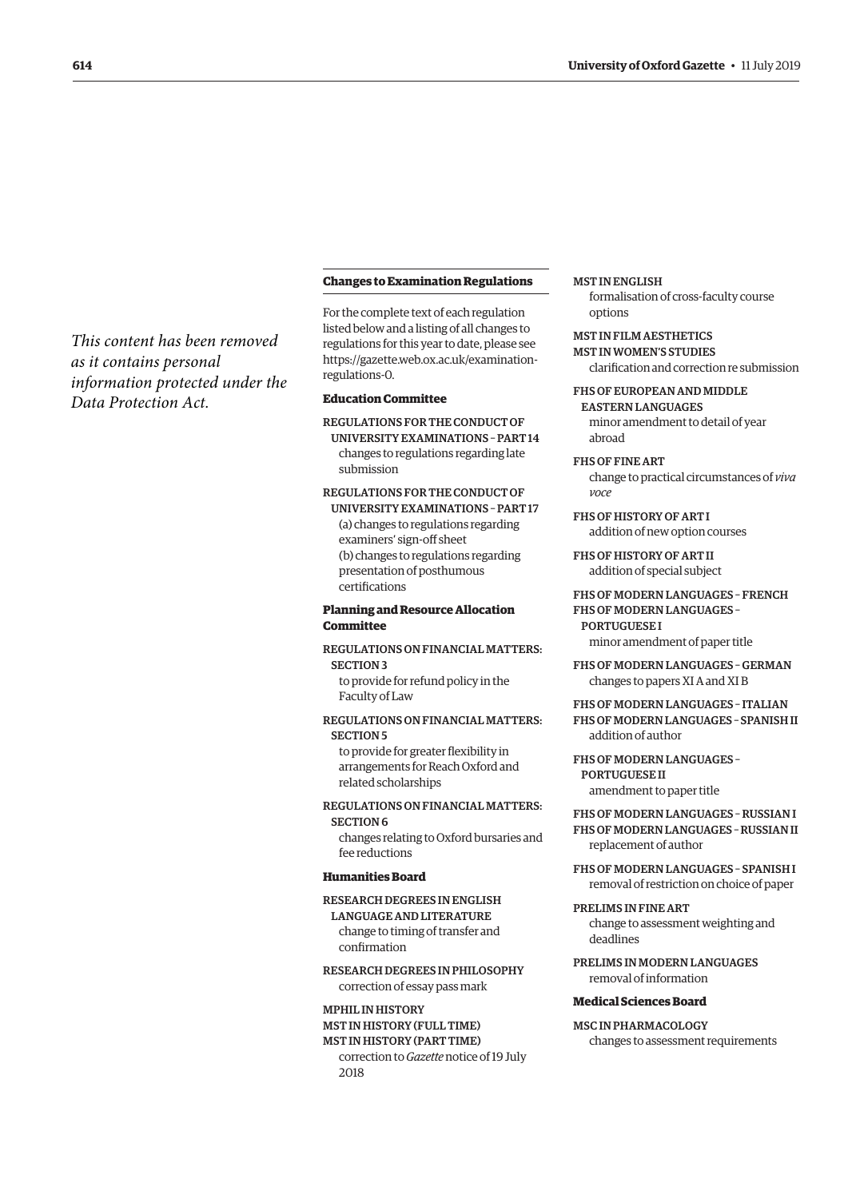#### **Changes to Examination Regulations**

For the complete text of each regulation listed below and a listing of all changes to regulations for this year to date, please see [https://gazette.web.ox.ac.uk/examination](https://gazette.web.ox.ac.uk/examination-regulations-0)[regulations-0.](https://gazette.web.ox.ac.uk/examination-regulations-0)

#### **Education Committee**

REGULATIONS FOR THE CONDUCT OF UNIVERSITY EXAMINATIONS – PART 14 changes to regulations regarding late submission

# REGULATIONS FOR THE CONDUCT OF

UNIVERSITY EXAMINATIONS – PART 17 (a) changes to regulations regarding examiners' sign-off sheet (b) changes to regulations regarding presentation of posthumous certifications

#### **Planning and Resource Allocation Committee**

## REGULATIONS ON FINANCIAL MATTERS: SECTION 3

to provide for refund policy in the Faculty of Law

#### REGULATIONS ON FINANCIAL MATTERS: SECTION 5

to provide for greater flexibility in arrangements for Reach Oxford and related scholarships

#### REGULATIONS ON FINANCIAL MATTERS: SECTION 6

changes relating to Oxford bursaries and fee reductions

#### **Humanities Board**

#### RESEARCH DEGREES IN ENGLISH

LANGUAGE AND LITERATURE change to timing of transfer and confirmation

RESEARCH DEGREES IN PHILOSOPHY correction of essay pass mark

#### MPHIL IN HISTORY MST IN HISTORY (FULL TIME)

MST IN HISTORY (PART TIME) correction to *Gazette* notice of 19 July 2018

#### MST IN ENGLISH

formalisation of cross-faculty course options

# MST IN FILM AESTHETICS

MST IN WOMEN'S STUDIES clarification and correction re submission

#### FHS OF EUROPEAN AND MIDDLE

EASTERN LANGUAGES minor amendment to detail of year abroad

#### FHS OF FINE ART

change to practical circumstances of *viva voce*

FHS OF HISTORY OF ART I addition of new option courses

FHS OF HISTORY OF ART II addition of special subject

# FHS OF MODERN LANGUAGES – FRENCH

FHS OF MODERN LANGUAGES – **PORTUGUESE I** minor amendment of paper title

FHS OF MODERN LANGUAGES – GERMAN changes to papers XI A and XI B

FHS OF MODERN LANGUAGES – ITALIAN FHS OF MODERN LANGUAGES – SPANISH II addition of author

#### FHS OF MODERN LANGUAGES – PORTUGUESE II

amendment to paper title

## FHS OF MODERN LANGUAGES – RUSSIAN I FHS OF MODERN LANGUAGES – RUSSIAN II

replacement of author

FHS OF MODERN LANGUAGES – SPANISH I removal of restriction on choice of paper

# PRELIMS IN FINE ART

change to assessment weighting and deadlines

PRELIMS IN MODERN LANGUAGES removal of information

#### **Medical Sciences Board**

# MSC IN PHARMACOLOGY

changes to assessment requirements

# <span id="page-7-0"></span>*This content has been removed as it contains personal information protected under the Data Protection Act.*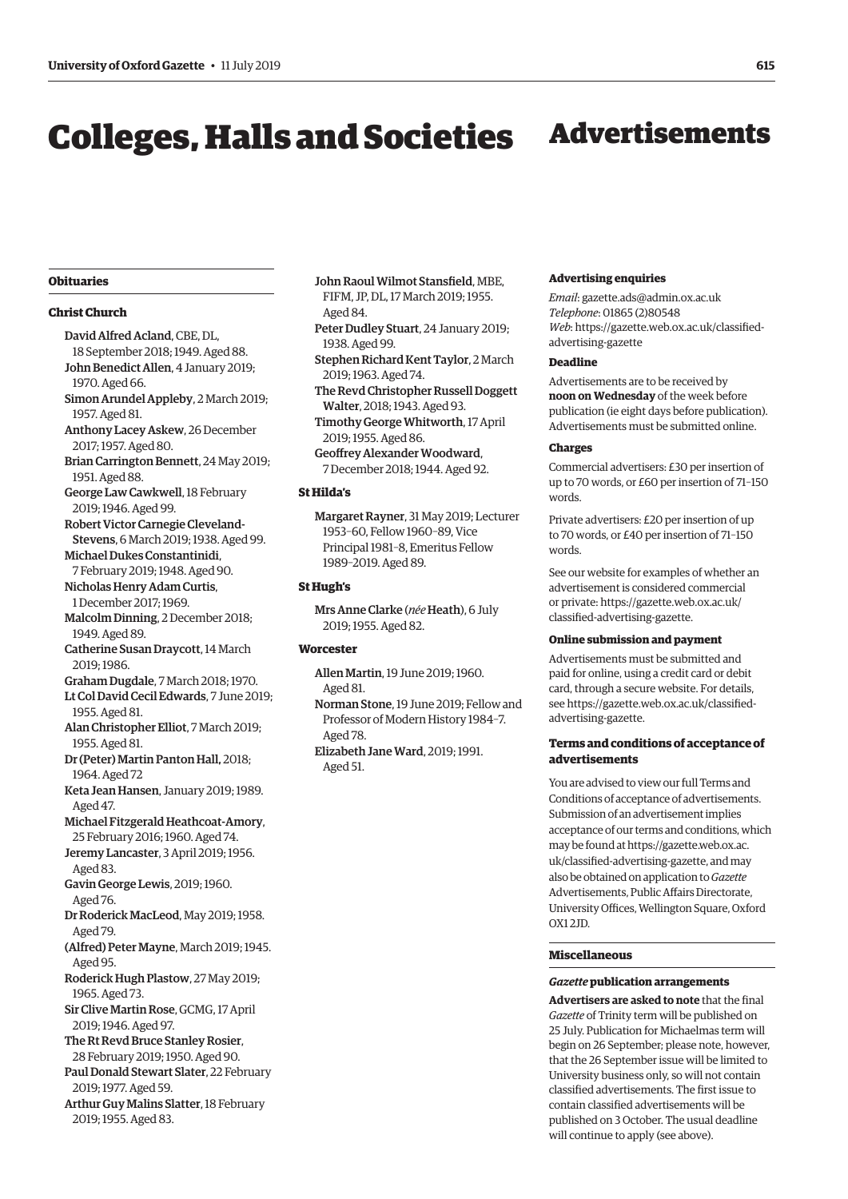# Colleges, Halls and Societies Advertisements

#### **Obituaries**

#### **Christ Church**

- David Alfred Acland, CBE, DL,
- 18 September 2018; 1949. Aged 88. John Benedict Allen, 4 January 2019; 1970. Aged 66.
- Simon Arundel Appleby, 2 March 2019; 1957. Aged 81.
- Anthony Lacey Askew, 26 December 2017; 1957. Aged 80.
- Brian Carrington Bennett, 24 May 2019; 1951. Aged 88.
- George Law Cawkwell, 18 February 2019; 1946. Aged 99.
- Robert Victor Carnegie Cleveland-Stevens, 6 March 2019; 1938. Aged 99.
- Michael Dukes Constantinidi, 7 February 2019; 1948. Aged 90.
- Nicholas Henry Adam Curtis, 1 December 2017; 1969.
- Malcolm Dinning, 2 December 2018; 1949. Aged 89.
- Catherine Susan Draycott, 14 March 2019; 1986.
- Graham Dugdale, 7 March 2018; 1970.
- Lt Col David Cecil Edwards, 7 June 2019; 1955. Aged 81.
- Alan Christopher Elliot, 7 March 2019; 1955. Aged 81.
- Dr (Peter) Martin Panton Hall, 2018; 1964. Aged 72
- Keta Jean Hansen, January 2019; 1989. Aged 47.
- Michael Fitzgerald Heathcoat-Amory, 25 February 2016; 1960. Aged 74.
- Jeremy Lancaster, 3 April 2019; 1956. Aged 83.
- Gavin George Lewis, 2019; 1960. Aged 76.
- Dr Roderick MacLeod, May 2019; 1958. Aged 79.
- (Alfred) Peter Mayne, March 2019; 1945. Aged 95.
- Roderick Hugh Plastow, 27 May 2019; 1965. Aged 73.
- Sir Clive Martin Rose, GCMG, 17 April 2019; 1946. Aged 97.
- The Rt Revd Bruce Stanley Rosier, 28 February 2019; 1950. Aged 90.
- Paul Donald Stewart Slater, 22 February 2019; 1977. Aged 59.
- Arthur Guy Malins Slatter, 18 February 2019; 1955. Aged 83.
- John Raoul Wilmot Stansfield, MBE, FIFM, JP, DL, 17 March 2019; 1955. Aged 84.
- Peter Dudley Stuart, 24 January 2019; 1938. Aged 99.
- Stephen Richard Kent Taylor, 2 March 2019; 1963. Aged 74.
- The Revd Christopher Russell Doggett Walter, 2018; 1943. Aged 93.
- Timothy George Whitworth, 17 April 2019; 1955. Aged 86.
- Geoffrey Alexander Woodward, 7 December 2018; 1944. Aged 92.

#### **St Hilda's**

Margaret Rayner, 31 May 2019; Lecturer 1953–60, Fellow 1960–89, Vice Principal 1981–8, Emeritus Fellow 1989–2019. Aged 89.

#### **St Hugh's**

Mrs Anne Clarke (*née* Heath), 6 July 2019; 1955. Aged 82.

### **Worcester**

- Allen Martin, 19 June 2019; 1960. Aged 81.
- Norman Stone, 19 June 2019; Fellow and Professor of Modern History 1984–7. Aged 78.
- Elizabeth Jane Ward, 2019; 1991. Aged 51.

#### **Advertising enquiries**

*Email*: [gazette.ads@admin.ox.ac.uk](mailto:gazette.ads@admin.ox.ac.uk) *Telephone*: 01865 (2)80548 *Web*[: https://gazette.web.ox.ac.uk/classified](www.gazette.web.ox.ac.uk/classified-advertising-gazette)advertising-gazette

#### **Deadline**

Advertisements are to be received by **noon on Wednesday** of the week before publication (ie eight days before publication). Advertisements must be submitted online.

#### **Charges**

Commercial advertisers: £30 per insertion of up to 70 words, or £60 per insertion of 71–150 words.

Private advertisers: £20 per insertion of up to 70 words, or £40 per insertion of 71–150 words.

See our website for examples of whether an advertisement is considered commercial [or private: https://gazette.web.ox.ac.uk/](www.gazette.web.ox.ac.uk/classified-advertising-gazette) classified-advertising-gazette.

#### **Online submission and payment**

Advertisements must be submitted and paid for online, using a credit card or debit card, through a secure website. For details, see https:/[/gazette.web.ox.ac.uk/classified](http://www.ox.ac.uk/gazette/classifiedadvertising-gazette)[advertising-](http://www.ox.ac.uk/gazette/classifiedadvertising-gazette)gazette.

#### **Terms and conditions of acceptance of advertisements**

You are advised to view our full Terms and Conditions of acceptance of advertisements. Submission of an advertisement implies acceptance of our terms and conditions, which may be found at [https://gazette.web.ox.ac.](https://gazette.web.ox.ac.uk/classified-advertising-gazette) [uk/classified-advertising-gazette,](https://gazette.web.ox.ac.uk/classified-advertising-gazette) and may also be obtained on application to *Gazette* Advertisements, Public Affairs Directorate, University Offices, Wellington Square, Oxford OX1 2JD.

#### **Miscellaneous**

#### *Gazette* **publication arrangements**

**Advertisers are asked to note** that the final *Gazette* of Trinity term will be published on 25 July. Publication for Michaelmas term will begin on 26 September; please note, however, that the 26 September issue will be limited to University business only, so will not contain classified advertisements. The first issue to contain classified advertisements will be published on 3 October. The usual deadline will continue to apply (see above).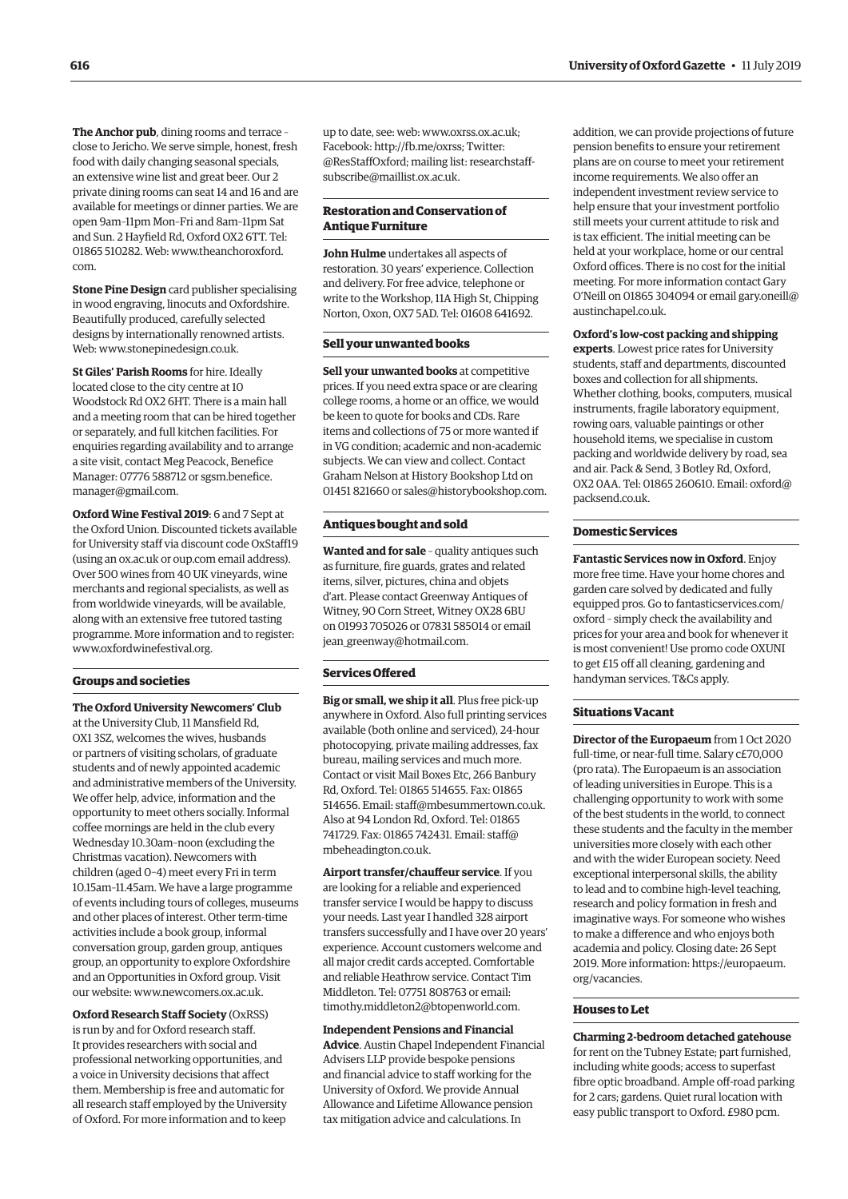**The Anchor pub**, dining rooms and terrace – close to Jericho. We serve simple, honest, fresh food with daily changing seasonal specials, an extensive wine list and great beer. Our 2 private dining rooms can seat 14 and 16 and are available for meetings or dinner parties. We are open 9am–11pm Mon–Fri and 8am–11pm Sat and Sun. 2 Hayfield Rd, Oxford OX2 6TT. Tel: 01865 510282. Web: [www.theanchoroxford.](http://www.theanchoroxford.com) [com.](http://www.theanchoroxford.com)

**Stone Pine Design** card publisher specialising in wood engraving, linocuts and Oxfordshire. Beautifully produced, carefully selected designs by internationally renowned artists. Web: [www.stonepinedesign.co.uk](http://www.stonepinedesign.co.uk).

**St Giles' Parish Rooms** for hire. Ideally located close to the city centre at 10 Woodstock Rd OX2 6HT. There is a main hall and a meeting room that can be hired together or separately, and full kitchen facilities. For enquiries regarding availability and to arrange a site visit, contact Meg Peacock, Benefice Manager: 07776 588712 or [sgsm.benefice.](mailto:sgsm.benefice.manager@gmail.com) [manager@gmail.com.](mailto:sgsm.benefice.manager@gmail.com)

**Oxford Wine Festival 2019**: 6 and 7 Sept at the Oxford Union. Discounted tickets available for University staff via discount code OxStaff19 (using an [ox.ac.uk](http://ox.ac.uk) or [oup.com](http://oup.com) email address). Over 500 wines from 40 UK vineyards, wine merchants and regional specialists, as well as from worldwide vineyards, will be available, along with an extensive free tutored tasting programme. More information and to register: [www.oxfordwinefestival.org.](http://www.oxfordwinefestival.org)

#### **Groups and societies**

**The Oxford University Newcomers' Club** at the University Club, 11 Mansfield Rd, OX1 3SZ, welcomes the wives, husbands or partners of visiting scholars, of graduate students and of newly appointed academic and administrative members of the University. We offer help, advice, information and the opportunity to meet others socially. Informal coffee mornings are held in the club every Wednesday 10.30am–noon (excluding the Christmas vacation). Newcomers with children (aged 0–4) meet every Fri in term 10.15am–11.45am. We have a large programme of events including tours of colleges, museums and other places of interest. Other term-time activities include a book group, informal conversation group, garden group, antiques group, an opportunity to explore Oxfordshire and an Opportunities in Oxford group. Visit our website: [www.newcomers.ox.ac.uk](http://www.newcomers.ox.ac.uk).

**Oxford Research Staff Society** (OxRSS) is run by and for Oxford research staff. It provides researchers with social and professional networking opportunities, and a voice in University decisions that affect them. Membership is free and automatic for all research staff employed by the University of Oxford. For more information and to keep up to date, see: web: [www.oxrss.ox.ac.uk;](http://www.oxrss.ox.ac.uk) Facebook: [http://fb.me/oxrss;](http://fb.me/oxrss) Twitter: @ResStaffOxford; mailing list: [researchstaff](mailto:researchstaff-subscribe@maillist.ox.ac.uk)[subscribe@maillist.ox.ac.uk](mailto:researchstaff-subscribe@maillist.ox.ac.uk).

#### **Restoration and Conservation of Antique Furniture**

**John Hulme** undertakes all aspects of restoration. 30 years' experience. Collection and delivery. For free advice, telephone or write to the Workshop, 11A High St, Chipping Norton, Oxon, OX7 5AD. Tel: 01608 641692.

#### **Sell your unwanted books**

**Sell your unwanted books** at competitive prices. If you need extra space or are clearing college rooms, a home or an office, we would be keen to quote for books and CDs. Rare items and collections of 75 or more wanted if in VG condition; academic and non-academic subjects. We can view and collect. Contact Graham Nelson at History Bookshop Ltd on 01451 821660 or [sales@historybookshop.com](mailto:sales@historybookshop.com).

#### **Antiques bought and sold**

**Wanted and for sale** – quality antiques such as furniture, fire guards, grates and related items, silver, pictures, china and objets d'art. Please contact Greenway Antiques of Witney, 90 Corn Street, Witney OX28 6BU on 01993 705026 or 07831 585014 or email [jean\\_greenway@hotmail.com](mailto:jean_greenway@hotmail.com).

#### **Services Offered**

**Big or small, we ship it all**. Plus free pick-up anywhere in Oxford. Also full printing services available (both online and serviced), 24-hour photocopying, private mailing addresses, fax bureau, mailing services and much more. Contact or visit Mail Boxes Etc, 266 Banbury Rd, Oxford. Tel: 01865 514655. Fax: 01865 514656. Email: [staff@mbesummertown.co.uk](mailto:staff@mbesummertown.co.uk). Also at 94 London Rd, Oxford. Tel: 01865 741729. Fax: 01865 742431. Email: [staff@](mailto:staff@mbeheadington.co.uk) [mbeheadington.co.uk](mailto:staff@mbeheadington.co.uk).

**Airport transfer/chauffeur service**. If you are looking for a reliable and experienced transfer service I would be happy to discuss your needs. Last year I handled 328 airport transfers successfully and I have over 20 years' experience. Account customers welcome and all major credit cards accepted. Comfortable and reliable Heathrow service. Contact Tim Middleton. Tel: 07751 808763 or email: [timothy.middleton2@btopenworld.com.](mailto:timothy.middleton2@btopenworld.com)

#### **Independent Pensions and Financial**

**Advice**. Austin Chapel Independent Financial Advisers LLP provide bespoke pensions and financial advice to staff working for the University of Oxford. We provide Annual Allowance and Lifetime Allowance pension tax mitigation advice and calculations. In

addition, we can provide projections of future pension benefits to ensure your retirement plans are on course to meet your retirement income requirements. We also offer an independent investment review service to help ensure that your investment portfolio still meets your current attitude to risk and is tax efficient. The initial meeting can be held at your workplace, home or our central Oxford offices. There is no cost for the initial meeting. For more information contact Gary O'Neill on 01865 304094 or email [gary.oneill@](mailto:gary.oneill@austinchapel.co.uk) [austinchapel.co.uk](mailto:gary.oneill@austinchapel.co.uk).

#### **Oxford's low-cost packing and shipping**

**experts**. Lowest price rates for University students, staff and departments, discounted boxes and collection for all shipments. Whether clothing, books, computers, musical instruments, fragile laboratory equipment, rowing oars, valuable paintings or other household items, we specialise in custom packing and worldwide delivery by road, sea and air. Pack & Send, 3 Botley Rd, Oxford, OX2 0AA. Tel: 01865 260610. Email: [oxford@](mailto:oxford@packsend.co.uk) [packsend.co.uk.](mailto:oxford@packsend.co.uk)

#### **Domestic Services**

**Fantastic Services now in Oxford**. Enjoy more free time. Have your home chores and garden care solved by dedicated and fully equipped pros. Go to [fantasticservices.com/](http://fantasticservices.com/oxford) [oxford](http://fantasticservices.com/oxford) – simply check the availability and prices for your area and book for whenever it is most convenient! Use promo code OXUNI to get £15 off all cleaning, gardening and handyman services. T&Cs apply.

#### **Situations Vacant**

**Director of the Europaeum** from 1 Oct 2020 full-time, or near-full time. Salary c£70,000 (pro rata). The Europaeum is an association of leading universities in Europe. This is a challenging opportunity to work with some of the best students in the world, to connect these students and the faculty in the member universities more closely with each other and with the wider European society. Need exceptional interpersonal skills, the ability to lead and to combine high-level teaching, research and policy formation in fresh and imaginative ways. For someone who wishes to make a difference and who enjoys both academia and policy. Closing date: 26 Sept 2019. More information: [https://europaeum.](https://europaeum.org/vacancies) [org/vacancies.](https://europaeum.org/vacancies)

#### **Houses to Let**

**Charming 2-bedroom detached gatehouse** for rent on the Tubney Estate; part furnished, including white goods; access to superfast fibre optic broadband. Ample off-road parking for 2 cars; gardens. Quiet rural location with easy public transport to Oxford. £980 pcm.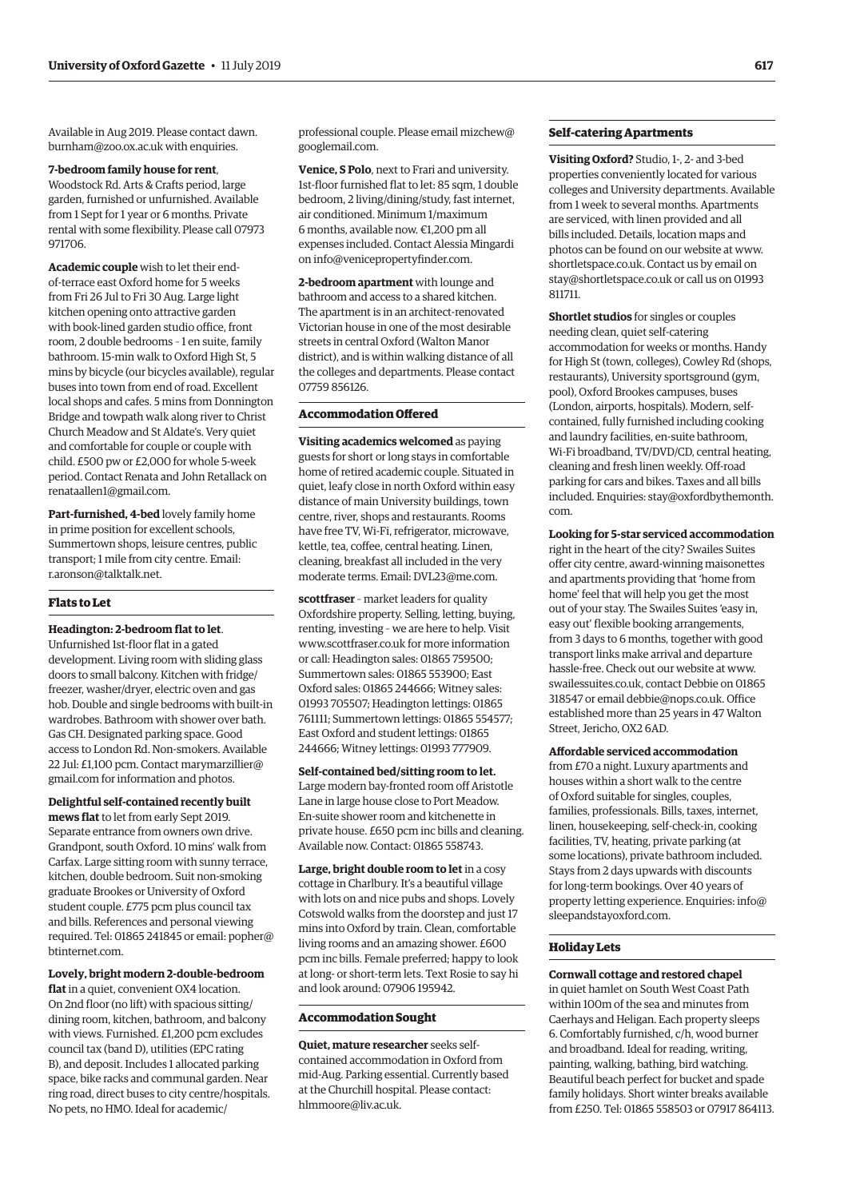Available in Aug 2019. Please contact [dawn.](mailto:dawn.burnham@zoo.ox.ac.uk) [burnham@zoo.ox.ac.uk](mailto:dawn.burnham@zoo.ox.ac.uk) with enquiries.

#### **7-bedroom family house for rent**,

Woodstock Rd. Arts & Crafts period, large garden, furnished or unfurnished. Available from 1 Sept for 1 year or 6 months. Private rental with some flexibility. Please call 07973 971706.

**Academic couple** wish to let their endof-terrace east Oxford home for 5 weeks from Fri 26 Jul to Fri 30 Aug. Large light kitchen opening onto attractive garden with book-lined garden studio office, front room, 2 double bedrooms – 1 en suite, family bathroom. 15-min walk to Oxford High St, 5 mins by bicycle (our bicycles available), regular buses into town from end of road. Excellent local shops and cafes. 5 mins from Donnington Bridge and towpath walk along river to Christ Church Meadow and St Aldate's. Very quiet and comfortable for couple or couple with child. £500 pw or £2,000 for whole 5-week period. Contact Renata and John Retallack on [renataallen1@gmail.com](mailto:renataallen1@gmail.com).

**Part-furnished, 4-bed** lovely family home in prime position for excellent schools, Summertown shops, leisure centres, public transport; 1 mile from city centre. Email: [r.aronson@talktalk.net](mailto:r.aronson@talktalk.net).

#### **Flats to Let**

#### **Headington: 2-bedroom flat to let**.

Unfurnished 1st-floor flat in a gated development. Living room with sliding glass doors to small balcony. Kitchen with fridge/ freezer, washer/dryer, electric oven and gas hob. Double and single bedrooms with built-in wardrobes. Bathroom with shower over bath. Gas CH. Designated parking space. Good access to London Rd. Non-smokers. Available 22 Jul: £1,100 pcm. Contact [marymarzillier@](mailto:marymarzillier@gmail.com) [gmail.com](mailto:marymarzillier@gmail.com) for information and photos.

**Delightful self-contained recently built mews flat** to let from early Sept 2019. Separate entrance from owners own drive. Grandpont, south Oxford. 10 mins' walk from Carfax. Large sitting room with sunny terrace, kitchen, double bedroom. Suit non-smoking graduate Brookes or University of Oxford student couple. £775 pcm plus council tax and bills. References and personal viewing required. Tel: 01865 241845 or email: [popher@](mailto:popher@btinternet.com) [btinternet.com](mailto:popher@btinternet.com).

**Lovely, bright modern 2-double-bedroom**  flat in a quiet, convenient OX4 location. On 2nd floor (no lift) with spacious sitting/ dining room, kitchen, bathroom, and balcony with views. Furnished. £1,200 pcm excludes council tax (band D), utilities (EPC rating B), and deposit. Includes 1 allocated parking space, bike racks and communal garden. Near ring road, direct buses to city centre/hospitals. No pets, no HMO. Ideal for academic/

professional couple. Please email [mizchew@](mailto:mizchew@googlemail.com) [googlemail.com](mailto:mizchew@googlemail.com).

**Venice, S Polo**, next to Frari and university. 1st-floor furnished flat to let: 85 sqm, 1 double bedroom, 2 living/dining/study, fast internet, air conditioned. Minimum 1/maximum 6 months, available now. €1,200 pm all expenses included. Contact Alessia Mingardi on [info@venicepropertyfinder.com](mailto:info@venicepropertyfinder.com).

**2-bedroom apartment** with lounge and bathroom and access to a shared kitchen. The apartment is in an architect-renovated Victorian house in one of the most desirable streets in central Oxford (Walton Manor district), and is within walking distance of all the colleges and departments. Please contact 07759 856126.

#### **Accommodation Offered**

**Visiting academics welcomed** as paying guests for short or long stays in comfortable home of retired academic couple. Situated in quiet, leafy close in north Oxford within easy distance of main University buildings, town centre, river, shops and restaurants. Rooms have free TV, Wi-Fi, refrigerator, microwave, kettle, tea, coffee, central heating. Linen, cleaning, breakfast all included in the very moderate terms. Email: [DVL23@me.com.](mailto:DVL23@me.com)

**scottfraser** – market leaders for quality Oxfordshire property. Selling, letting, buying, renting, investing – we are here to help. Visit [www.scottfraser.co.uk](http://www.scottfraser.co.uk) for more information or call: Headington sales: 01865 759500; Summertown sales: 01865 553900; East Oxford sales: 01865 244666; Witney sales: 01993 705507; Headington lettings: 01865 761111; Summertown lettings: 01865 554577; East Oxford and student lettings: 01865 244666; Witney lettings: 01993 777909.

**Self-contained bed/sitting room to let.** Large modern bay-fronted room off Aristotle Lane in large house close to Port Meadow. En-suite shower room and kitchenette in private house. £650 pcm inc bills and cleaning. Available now. Contact: 01865 558743.

**Large, bright double room to let** in a cosy cottage in Charlbury. It's a beautiful village with lots on and nice pubs and shops. Lovely Cotswold walks from the doorstep and just 17 mins into Oxford by train. Clean, comfortable living rooms and an amazing shower. £600 pcm inc bills. Female preferred; happy to look at long- or short-term lets. Text Rosie to say hi and look around: 07906 195942.

#### **Accommodation Sought**

**Quiet, mature researcher** seeks selfcontained accommodation in Oxford from mid-Aug. Parking essential. Currently based at the Churchill hospital. Please contact: [hlmmoore@liv.ac.uk](mailto:hlmmoore@liv.ac.uk).

#### **Self-catering Apartments**

**Visiting Oxford?** Studio, 1-, 2- and 3-bed properties conveniently located for various colleges and University departments. Available from 1 week to several months. Apartments are serviced, with linen provided and all bills included. Details, location maps and photos can be found on our website at [www.](http://www.shortletspace.co.uk) [shortletspace.co.uk](http://www.shortletspace.co.uk). Contact us by email on [stay@shortletspace.co.uk](mailto:stay@shortletspace.co.uk) or call us on 01993 811711.

**Shortlet studios** for singles or couples needing clean, quiet self-catering accommodation for weeks or months. Handy for High St (town, colleges), Cowley Rd (shops, restaurants), University sportsground (gym, pool), Oxford Brookes campuses, buses (London, airports, hospitals). Modern, selfcontained, fully furnished including cooking and laundry facilities, en-suite bathroom, Wi-Fi broadband, TV/DVD/CD, central heating, cleaning and fresh linen weekly. Off-road parking for cars and bikes. Taxes and all bills included. Enquiries: [stay@oxfordbythemonth.](mailto:stay@oxfordbythemonth.com) [com](mailto:stay@oxfordbythemonth.com).

**Looking for 5-star serviced accommodation**

right in the heart of the city? Swailes Suites offer city centre, award-winning maisonettes and apartments providing that 'home from home' feel that will help you get the most out of your stay. The Swailes Suites 'easy in, easy out' flexible booking arrangements, from 3 days to 6 months, together with good transport links make arrival and departure hassle-free. Check out our website at [www.](http://www.swailessuites.co.uk) [swailessuites.co.uk](http://www.swailessuites.co.uk), contact Debbie on 01865 318547 or email [debbie@nops.co.uk](mailto:debbie@nops.co.uk). Office established more than 25 years in 47 Walton Street, Jericho, OX2 6AD.

#### **Affordable serviced accommodation**

from £70 a night. Luxury apartments and houses within a short walk to the centre of Oxford suitable for singles, couples, families, professionals. Bills, taxes, internet, linen, housekeeping, self-check-in, cooking facilities, TV, heating, private parking (at some locations), private bathroom included. Stays from 2 days upwards with discounts for long-term bookings. Over 40 years of property letting experience. Enquiries: [info@](mailto:info@sleepandstayoxford.com) [sleepandstayoxford.com](mailto:info@sleepandstayoxford.com).

#### **Holiday Lets**

#### **Cornwall cottage and restored chapel**

in quiet hamlet on South West Coast Path within 100m of the sea and minutes from Caerhays and Heligan. Each property sleeps 6. Comfortably furnished, c/h, wood burner and broadband. Ideal for reading, writing, painting, walking, bathing, bird watching. Beautiful beach perfect for bucket and spade family holidays. Short winter breaks available from £250. Tel: 01865 558503 or 07917 864113.